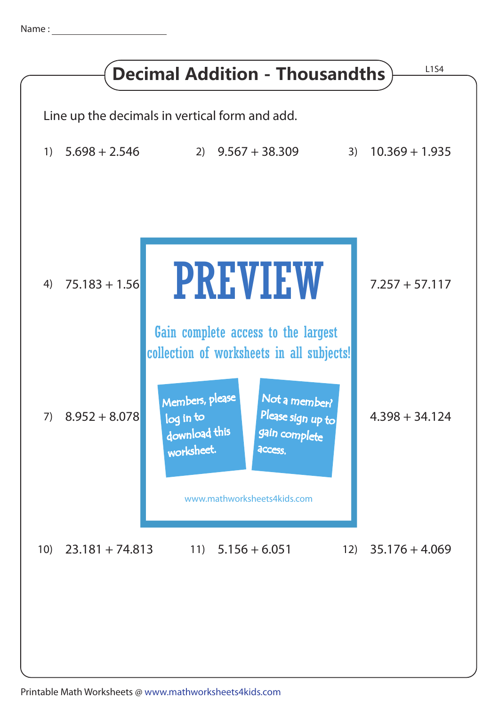